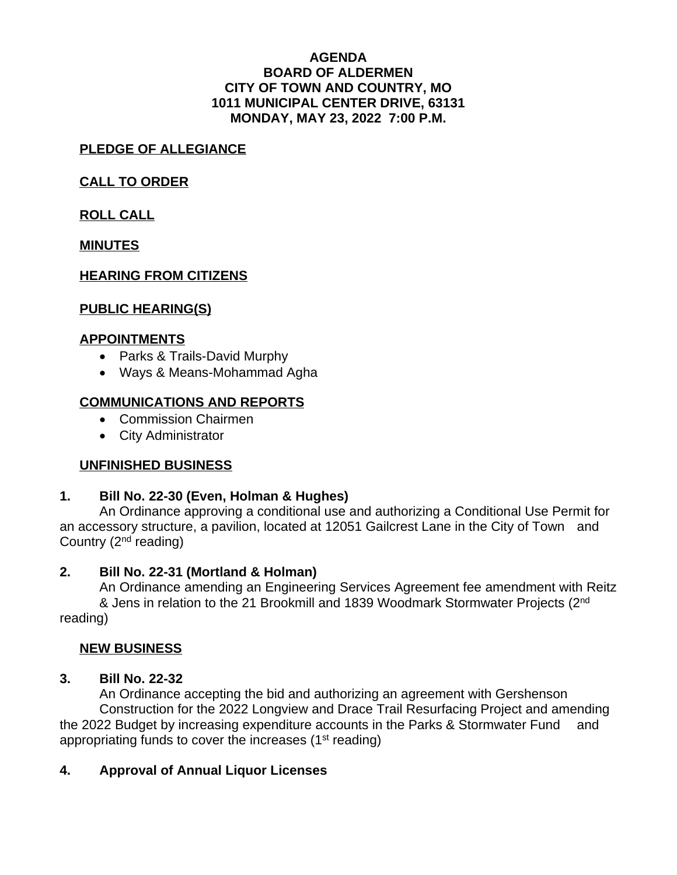#### **AGENDA BOARD OF ALDERMEN CITY OF TOWN AND COUNTRY, MO 1011 MUNICIPAL CENTER DRIVE, 63131 MONDAY, MAY 23, 2022 7:00 P.M.**

## **PLEDGE OF ALLEGIANCE**

## **CALL TO ORDER**

**ROLL CALL**

**MINUTES**

## **HEARING FROM CITIZENS**

## **PUBLIC HEARING(S)**

### **APPOINTMENTS**

- Parks & Trails-David Murphy
- Ways & Means-Mohammad Agha

# **COMMUNICATIONS AND REPORTS**

- Commission Chairmen
- City Administrator

### **UNFINISHED BUSINESS**

### **1. Bill No. 22-30 (Even, Holman & Hughes)**

An Ordinance approving a conditional use and authorizing a Conditional Use Permit for an accessory structure, a pavilion, located at 12051 Gailcrest Lane in the City of Town and Country  $(2<sup>nd</sup>$  reading)

### **2. Bill No. 22-31 (Mortland & Holman)**

An Ordinance amending an Engineering Services Agreement fee amendment with Reitz & Jens in relation to the 21 Brookmill and 1839 Woodmark Stormwater Projects (2<sup>nd</sup> reading)

### **NEW BUSINESS**

### **3. Bill No. 22-32**

An Ordinance accepting the bid and authorizing an agreement with Gershenson Construction for the 2022 Longview and Drace Trail Resurfacing Project and amending the 2022 Budget by increasing expenditure accounts in the Parks & Stormwater Fund and appropriating funds to cover the increases (1<sup>st</sup> reading)

# **4. Approval of Annual Liquor Licenses**